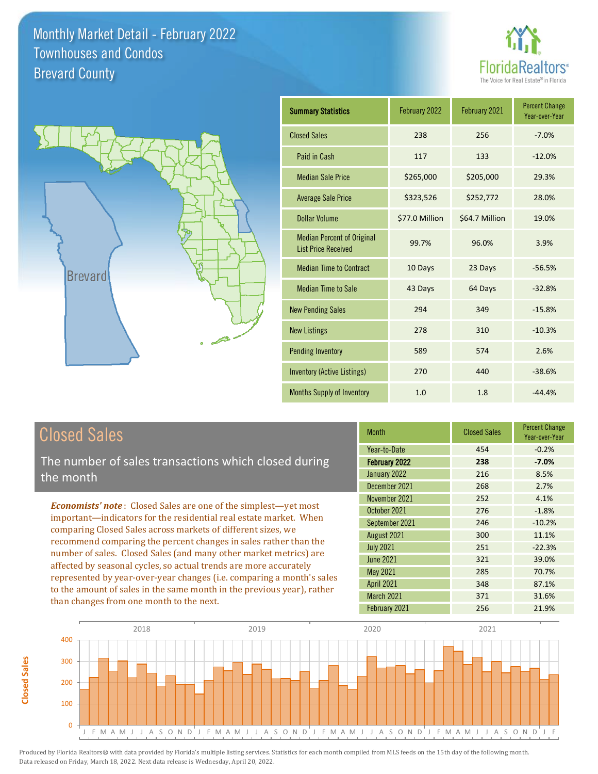



| <b>Summary Statistics</b>                                       | February 2022  | February 2021  | <b>Percent Change</b><br>Year-over-Year |
|-----------------------------------------------------------------|----------------|----------------|-----------------------------------------|
| <b>Closed Sales</b>                                             | 238            | 256            | $-7.0%$                                 |
| Paid in Cash                                                    | 117            | 133            | $-12.0%$                                |
| <b>Median Sale Price</b>                                        | \$265,000      | \$205,000      | 29.3%                                   |
| <b>Average Sale Price</b>                                       | \$323,526      | \$252,772      | 28.0%                                   |
| <b>Dollar Volume</b>                                            | \$77.0 Million | \$64.7 Million | 19.0%                                   |
| <b>Median Percent of Original</b><br><b>List Price Received</b> | 99.7%          | 96.0%          | 3.9%                                    |
| <b>Median Time to Contract</b>                                  | 10 Days        | 23 Days        | $-56.5%$                                |
| <b>Median Time to Sale</b>                                      | 43 Days        | 64 Days        | $-32.8%$                                |
| <b>New Pending Sales</b>                                        | 294            | 349            | $-15.8%$                                |
| <b>New Listings</b>                                             | 278            | 310            | $-10.3%$                                |
| <b>Pending Inventory</b>                                        | 589            | 574            | 2.6%                                    |
| Inventory (Active Listings)                                     | 270            | 440            | $-38.6%$                                |
| <b>Months Supply of Inventory</b>                               | 1.0            | 1.8            | $-44.4%$                                |

## Closed Sales

**Closed Sales**

**Closed Sales** 

The number of sales transactions which closed during the month

*Economists' note* : Closed Sales are one of the simplest—yet most important—indicators for the residential real estate market. When comparing Closed Sales across markets of different sizes, we recommend comparing the percent changes in sales rather than the number of sales. Closed Sales (and many other market metrics) are affected by seasonal cycles, so actual trends are more accurately represented by year-over-year changes (i.e. comparing a month's sales to the amount of sales in the same month in the previous year), rather than changes from one month to the next.

| <b>Month</b>         | <b>Closed Sales</b> | <b>Percent Change</b><br>Year-over-Year |
|----------------------|---------------------|-----------------------------------------|
| Year-to-Date         | 454                 | $-0.2%$                                 |
| <b>February 2022</b> | 238                 | $-7.0%$                                 |
| January 2022         | 216                 | 8.5%                                    |
| December 2021        | 268                 | 2.7%                                    |
| November 2021        | 252                 | 4.1%                                    |
| October 2021         | 276                 | $-1.8%$                                 |
| September 2021       | 246                 | $-10.2%$                                |
| August 2021          | 300                 | 11.1%                                   |
| <b>July 2021</b>     | 251                 | $-22.3%$                                |
| <b>June 2021</b>     | 321                 | 39.0%                                   |
| <b>May 2021</b>      | 285                 | 70.7%                                   |
| April 2021           | 348                 | 87.1%                                   |
| March 2021           | 371                 | 31.6%                                   |
| February 2021        | 256                 | 21.9%                                   |

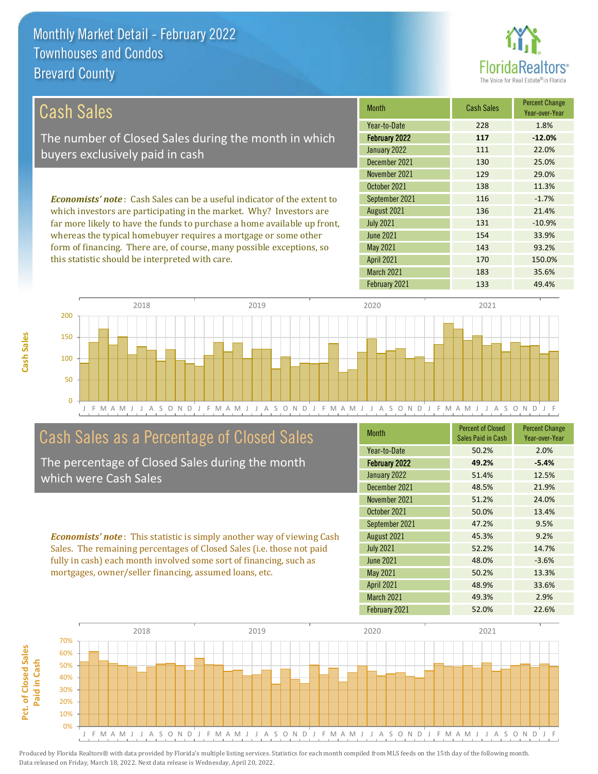

| Cash Sales                                                                     | <b>Month</b>      | <b>Cash Sales</b> | <b>Percent Change</b><br>Year-over-Year |
|--------------------------------------------------------------------------------|-------------------|-------------------|-----------------------------------------|
|                                                                                | Year-to-Date      | 228               | 1.8%                                    |
| The number of Closed Sales during the month in which                           | February 2022     | 117               | $-12.0%$                                |
| buyers exclusively paid in cash                                                | January 2022      | 111               | 22.0%                                   |
|                                                                                | December 2021     | 130               | 25.0%                                   |
|                                                                                | November 2021     | 129               | 29.0%                                   |
|                                                                                | October 2021      | 138               | 11.3%                                   |
| <b>Economists' note:</b> Cash Sales can be a useful indicator of the extent to | September 2021    | 116               | $-1.7%$                                 |
| which investors are participating in the market. Why? Investors are            | August 2021       | 136               | 21.4%                                   |
| far more likely to have the funds to purchase a home available up front,       | <b>July 2021</b>  | 131               | $-10.9%$                                |
| whereas the typical homebuyer requires a mortgage or some other                | June 2021         | 154               | 33.9%                                   |
| form of financing. There are, of course, many possible exceptions, so          | May 2021          | 143               | 93.2%                                   |
| this statistic should be interpreted with care.                                | <b>April 2021</b> | 170               | 150.0%                                  |
|                                                                                | March 2021        | 183               | 35.6%                                   |



#### Cash Sales as a Percentage of Closed Sales

**Cash Sales**

The percentage of Closed Sales during the month which were Cash Sales

*Economists' note* : This statistic is simply another way of viewing Cash Sales. The remaining percentages of Closed Sales (i.e. those not paid fully in cash) each month involved some sort of financing, such as mortgages, owner/seller financing, assumed loans, etc.

| <b>Month</b>         | <b>Percent of Closed</b><br>Sales Paid in Cash | <b>Percent Change</b><br>Year-over-Year |
|----------------------|------------------------------------------------|-----------------------------------------|
| Year-to-Date         | 50.2%                                          | 2.0%                                    |
| <b>February 2022</b> | 49.2%                                          | $-5.4%$                                 |
| January 2022         | 51.4%                                          | 12.5%                                   |
| December 2021        | 48.5%                                          | 21.9%                                   |
| November 2021        | 51.2%                                          | 24.0%                                   |
| October 2021         | 50.0%                                          | 13.4%                                   |
| September 2021       | 47.2%                                          | 9.5%                                    |
| August 2021          | 45.3%                                          | 9.2%                                    |
| <b>July 2021</b>     | 52.2%                                          | 14.7%                                   |
| <b>June 2021</b>     | 48.0%                                          | $-3.6%$                                 |
| May 2021             | 50.2%                                          | 13.3%                                   |
| <b>April 2021</b>    | 48.9%                                          | 33.6%                                   |
| March 2021           | 49.3%                                          | 2.9%                                    |
| February 2021        | 52.0%                                          | 22.6%                                   |

February 2021 133 49.4%

![](_page_1_Figure_8.jpeg)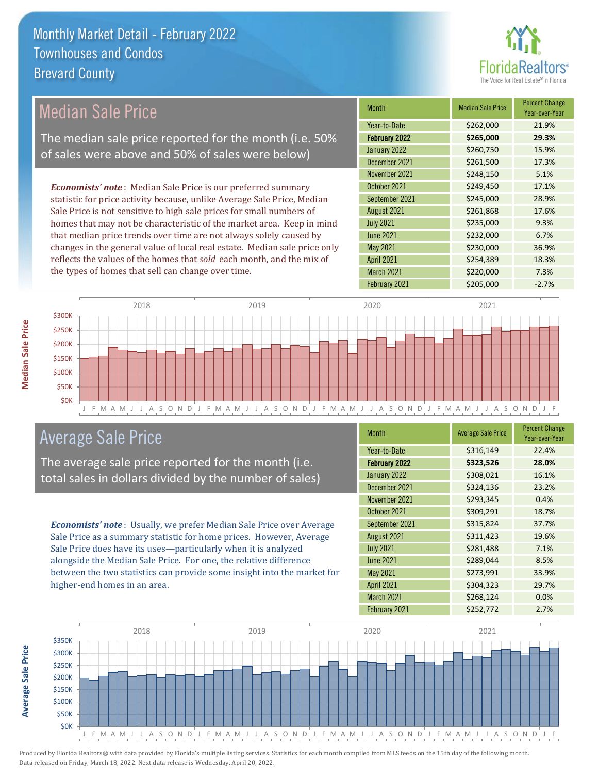![](_page_2_Picture_1.jpeg)

| <b>Median Sale Price</b>                                                  | <b>Month</b>      | <b>Median Sale Price</b> | <b>Percent Change</b><br>Year-over-Year |
|---------------------------------------------------------------------------|-------------------|--------------------------|-----------------------------------------|
|                                                                           | Year-to-Date      | \$262,000                | 21.9%                                   |
| The median sale price reported for the month (i.e. 50%                    | February 2022     | \$265,000                | 29.3%                                   |
| of sales were above and 50% of sales were below)                          | January 2022      | \$260,750                | 15.9%                                   |
|                                                                           | December 2021     | \$261,500                | 17.3%                                   |
|                                                                           | November 2021     | \$248,150                | 5.1%                                    |
| <b>Economists' note:</b> Median Sale Price is our preferred summary       | October 2021      | \$249,450                | 17.1%                                   |
| statistic for price activity because, unlike Average Sale Price, Median   | September 2021    | \$245,000                | 28.9%                                   |
| Sale Price is not sensitive to high sale prices for small numbers of      | August 2021       | \$261,868                | 17.6%                                   |
| homes that may not be characteristic of the market area. Keep in mind     | <b>July 2021</b>  | \$235,000                | 9.3%                                    |
| that median price trends over time are not always solely caused by        | June 2021         | \$232,000                | 6.7%                                    |
| changes in the general value of local real estate. Median sale price only | May 2021          | \$230,000                | 36.9%                                   |
| reflects the values of the homes that sold each month, and the mix of     | <b>April 2021</b> | \$254,389                | 18.3%                                   |
| the types of homes that sell can change over time.                        | March 2021        | \$220,000                | 7.3%                                    |

![](_page_2_Figure_3.jpeg)

## Average Sale Price

**Median Sale Price**

**Median Sale Price** 

The average sale price reported for the month (i.e. total sales in dollars divided by the number of sales)

*Economists' note* : Usually, we prefer Median Sale Price over Average Sale Price as a summary statistic for home prices. However, Average Sale Price does have its uses—particularly when it is analyzed alongside the Median Sale Price. For one, the relative difference between the two statistics can provide some insight into the market for higher-end homes in an area.

| <b>Month</b>         | <b>Average Sale Price</b> | <b>Percent Change</b><br>Year-over-Year |
|----------------------|---------------------------|-----------------------------------------|
| Year-to-Date         | \$316,149                 | 22.4%                                   |
| <b>February 2022</b> | \$323,526                 | 28.0%                                   |
| January 2022         | \$308,021                 | 16.1%                                   |
| December 2021        | \$324,136                 | 23.2%                                   |
| November 2021        | \$293,345                 | 0.4%                                    |
| October 2021         | \$309,291                 | 18.7%                                   |
| September 2021       | \$315,824                 | 37.7%                                   |
| August 2021          | \$311,423                 | 19.6%                                   |
| <b>July 2021</b>     | \$281,488                 | 7.1%                                    |
| <b>June 2021</b>     | \$289,044                 | 8.5%                                    |
| May 2021             | \$273,991                 | 33.9%                                   |
| <b>April 2021</b>    | \$304,323                 | 29.7%                                   |
| March 2021           | \$268,124                 | 0.0%                                    |
| February 2021        | \$252,772                 | 2.7%                                    |

February 2021 **\$205,000** -2.7%

![](_page_2_Figure_8.jpeg)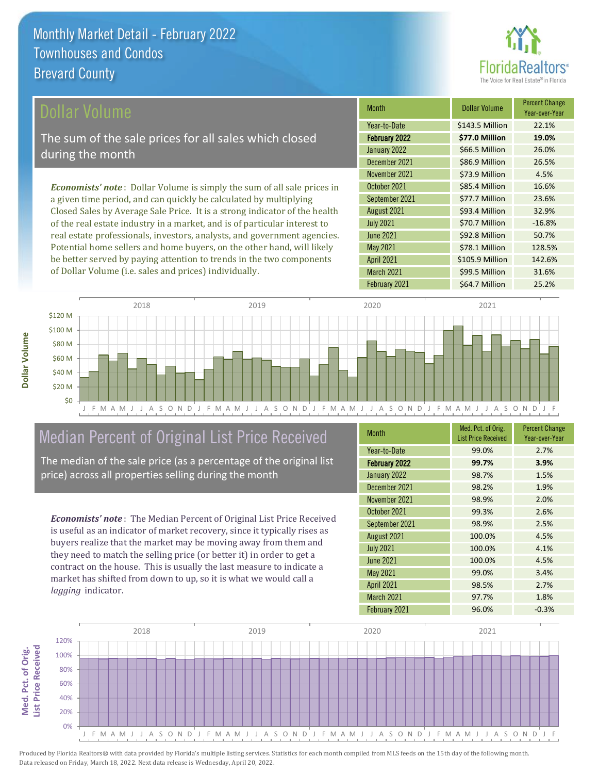![](_page_3_Picture_1.jpeg)

\$105.9 Million 142.6%

March 2021 599.5 Million 31.6%

April 2021

February 2021 **\$64.7 Million** 25.2%

| Dollar Volume                                                                   | <b>Month</b>     | <b>Dollar Volume</b> | <b>Percent Change</b><br>Year-over-Year |
|---------------------------------------------------------------------------------|------------------|----------------------|-----------------------------------------|
|                                                                                 | Year-to-Date     | \$143.5 Million      | 22.1%                                   |
| The sum of the sale prices for all sales which closed                           | February 2022    | \$77.0 Million       | 19.0%                                   |
| during the month                                                                | January 2022     | \$66.5 Million       | 26.0%                                   |
|                                                                                 | December 2021    | \$86.9 Million       | 26.5%                                   |
|                                                                                 | November 2021    | \$73.9 Million       | 4.5%                                    |
| <b>Economists' note</b> : Dollar Volume is simply the sum of all sale prices in | October 2021     | \$85.4 Million       | 16.6%                                   |
| a given time period, and can quickly be calculated by multiplying               | September 2021   | \$77.7 Million       | 23.6%                                   |
| Closed Sales by Average Sale Price. It is a strong indicator of the health      | August 2021      | \$93.4 Million       | 32.9%                                   |
| of the real estate industry in a market, and is of particular interest to       | <b>July 2021</b> | \$70.7 Million       | $-16.8%$                                |
| real estate professionals, investors, analysts, and government agencies.        | <b>June 2021</b> | \$92.8 Million       | 50.7%                                   |
| Potential home sellers and home buyers, on the other hand, will likely          | May 2021         | \$78.1 Million       | 128.5%                                  |

![](_page_3_Figure_3.jpeg)

#### Median Percent of Original List Price Received

be better served by paying attention to trends in the two components

of Dollar Volume (i.e. sales and prices) individually.

The median of the sale price (as a percentage of the original list price) across all properties selling during the month

*Economists' note* : The Median Percent of Original List Price Received is useful as an indicator of market recovery, since it typically rises as buyers realize that the market may be moving away from them and they need to match the selling price (or better it) in order to get a contract on the house. This is usually the last measure to indicate a market has shifted from down to up, so it is what we would call a *lagging* indicator.

**Med. Pct. of Orig.** 

Med. Pct. of Orig.

**Dollar Volume**

Dollar Volume

| <b>Month</b>      | Med. Pct. of Orig.<br><b>List Price Received</b> | <b>Percent Change</b><br>Year-over-Year |
|-------------------|--------------------------------------------------|-----------------------------------------|
| Year-to-Date      | 99.0%                                            | 2.7%                                    |
| February 2022     | 99.7%                                            | 3.9%                                    |
| January 2022      | 98.7%                                            | 1.5%                                    |
| December 2021     | 98.2%                                            | 1.9%                                    |
| November 2021     | 98.9%                                            | 2.0%                                    |
| October 2021      | 99.3%                                            | 2.6%                                    |
| September 2021    | 98.9%                                            | 2.5%                                    |
| August 2021       | 100.0%                                           | 4.5%                                    |
| <b>July 2021</b>  | 100.0%                                           | 4.1%                                    |
| June 2021         | 100.0%                                           | 4.5%                                    |
| <b>May 2021</b>   | 99.0%                                            | 3.4%                                    |
| <b>April 2021</b> | 98.5%                                            | 2.7%                                    |
| March 2021        | 97.7%                                            | 1.8%                                    |
| February 2021     | 96.0%                                            | $-0.3%$                                 |

![](_page_3_Figure_8.jpeg)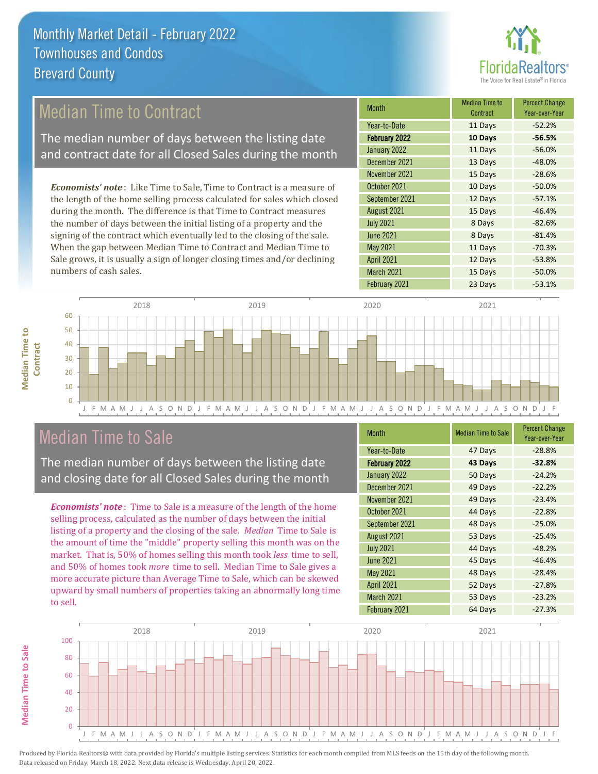![](_page_4_Picture_1.jpeg)

## Median Time to Contract

The median number of days between the listing date and contract date for all Closed Sales during the month

*Economists' note* : Like Time to Sale, Time to Contract is a measure of the length of the home selling process calculated for sales which closed during the month. The difference is that Time to Contract measures the number of days between the initial listing of a property and the signing of the contract which eventually led to the closing of the sale. When the gap between Median Time to Contract and Median Time to Sale grows, it is usually a sign of longer closing times and/or declining numbers of cash sales.

| <b>Month</b>      | Median Time to<br>Contract | <b>Percent Change</b><br>Year-over-Year |
|-------------------|----------------------------|-----------------------------------------|
| Year-to-Date      | 11 Days                    | $-52.2%$                                |
| February 2022     | 10 Days                    | $-56.5%$                                |
| January 2022      | 11 Days                    | $-56.0%$                                |
| December 2021     | 13 Days                    | $-48.0%$                                |
| November 2021     | 15 Days                    | $-28.6%$                                |
| October 2021      | 10 Days                    | $-50.0%$                                |
| September 2021    | 12 Days                    | $-57.1%$                                |
| August 2021       | 15 Days                    | $-46.4%$                                |
| <b>July 2021</b>  | 8 Days                     | $-82.6%$                                |
| <b>June 2021</b>  | 8 Days                     | $-81.4%$                                |
| May 2021          | 11 Days                    | $-70.3%$                                |
| <b>April 2021</b> | 12 Days                    | $-53.8%$                                |
| March 2021        | 15 Days                    | $-50.0%$                                |
| February 2021     | 23 Days                    | $-53.1%$                                |

![](_page_4_Figure_6.jpeg)

### Median Time to Sale

The median number of days between the listing date and closing date for all Closed Sales during the month

*Economists' note* : Time to Sale is a measure of the length of the home selling process, calculated as the number of days between the initial listing of a property and the closing of the sale. *Median* Time to Sale is the amount of time the "middle" property selling this month was on the market. That is, 50% of homes selling this month took *less* time to sell, and 50% of homes took *more* time to sell. Median Time to Sale gives a more accurate picture than Average Time to Sale, which can be skewed upward by small numbers of properties taking an abnormally long time to sell.

| <b>Month</b>         | <b>Median Time to Sale</b> | <b>Percent Change</b><br>Year-over-Year |
|----------------------|----------------------------|-----------------------------------------|
| Year-to-Date         | 47 Days                    | $-28.8%$                                |
| <b>February 2022</b> | 43 Days                    | $-32.8%$                                |
| January 2022         | 50 Days                    | $-24.2%$                                |
| December 2021        | 49 Days                    | $-22.2%$                                |
| November 2021        | 49 Days                    | $-23.4%$                                |
| October 2021         | 44 Days                    | $-22.8%$                                |
| September 2021       | 48 Days                    | $-25.0%$                                |
| August 2021          | 53 Days                    | $-25.4%$                                |
| <b>July 2021</b>     | 44 Days                    | $-48.2%$                                |
| <b>June 2021</b>     | 45 Days                    | $-46.4%$                                |
| May 2021             | 48 Days                    | $-28.4%$                                |
| <b>April 2021</b>    | 52 Days                    | $-27.8%$                                |
| March 2021           | 53 Days                    | $-23.2%$                                |
| February 2021        | 64 Days                    | $-27.3%$                                |

![](_page_4_Figure_11.jpeg)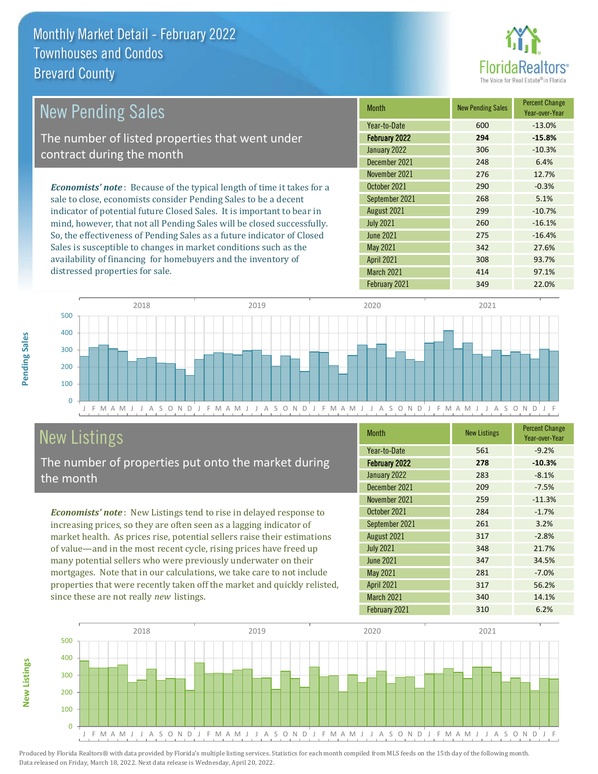![](_page_5_Picture_1.jpeg)

| <b>New Pending Sales</b>                                                      | <b>Month</b>      | <b>New Pending Sales</b> | <b>Percent Change</b><br>Year-over-Year |
|-------------------------------------------------------------------------------|-------------------|--------------------------|-----------------------------------------|
|                                                                               | Year-to-Date      | 600                      | $-13.0%$                                |
| The number of listed properties that went under                               | February 2022     | 294                      | $-15.8%$                                |
| contract during the month                                                     | January 2022      | 306                      | $-10.3%$                                |
|                                                                               | December 2021     | 248                      | 6.4%                                    |
|                                                                               | November 2021     | 276                      | 12.7%                                   |
| <b>Economists' note:</b> Because of the typical length of time it takes for a | October 2021      | 290                      | $-0.3%$                                 |
| sale to close, economists consider Pending Sales to be a decent               | September 2021    | 268                      | 5.1%                                    |
| indicator of potential future Closed Sales. It is important to bear in        | August 2021       | 299                      | $-10.7%$                                |
| mind, however, that not all Pending Sales will be closed successfully.        | <b>July 2021</b>  | 260                      | $-16.1%$                                |
| So, the effectiveness of Pending Sales as a future indicator of Closed        | <b>June 2021</b>  | 275                      | $-16.4%$                                |
| Sales is susceptible to changes in market conditions such as the              | May 2021          | 342                      | 27.6%                                   |
| availability of financing for homebuyers and the inventory of                 | <b>April 2021</b> | 308                      | 93.7%                                   |

![](_page_5_Figure_3.jpeg)

## New Listings

distressed properties for sale.

The number of properties put onto the market during the month

*Economists' note* : New Listings tend to rise in delayed response to increasing prices, so they are often seen as a lagging indicator of market health. As prices rise, potential sellers raise their estimations of value—and in the most recent cycle, rising prices have freed up many potential sellers who were previously underwater on their mortgages. Note that in our calculations, we take care to not include properties that were recently taken off the market and quickly relisted, since these are not really *new* listings.

| <b>Month</b>         | <b>New Listings</b> | <b>Percent Change</b><br>Year-over-Year |
|----------------------|---------------------|-----------------------------------------|
| Year-to-Date         | 561                 | $-9.2%$                                 |
| <b>February 2022</b> | 278                 | $-10.3%$                                |
| January 2022         | 283                 | $-8.1%$                                 |
| December 2021        | 209                 | $-7.5%$                                 |
| November 2021        | 259                 | $-11.3%$                                |
| October 2021         | 284                 | $-1.7%$                                 |
| September 2021       | 261                 | 3.2%                                    |
| August 2021          | 317                 | $-2.8%$                                 |
| <b>July 2021</b>     | 348                 | 21.7%                                   |
| <b>June 2021</b>     | 347                 | 34.5%                                   |
| <b>May 2021</b>      | 281                 | $-7.0%$                                 |
| <b>April 2021</b>    | 317                 | 56.2%                                   |
| March 2021           | 340                 | 14.1%                                   |
| February 2021        | 310                 | 6.2%                                    |

February 2021 **349** 22.0%

March 2021 414 414 97.1%

![](_page_5_Figure_8.jpeg)

Pending Sales **Pending Sales**

# **New Listings**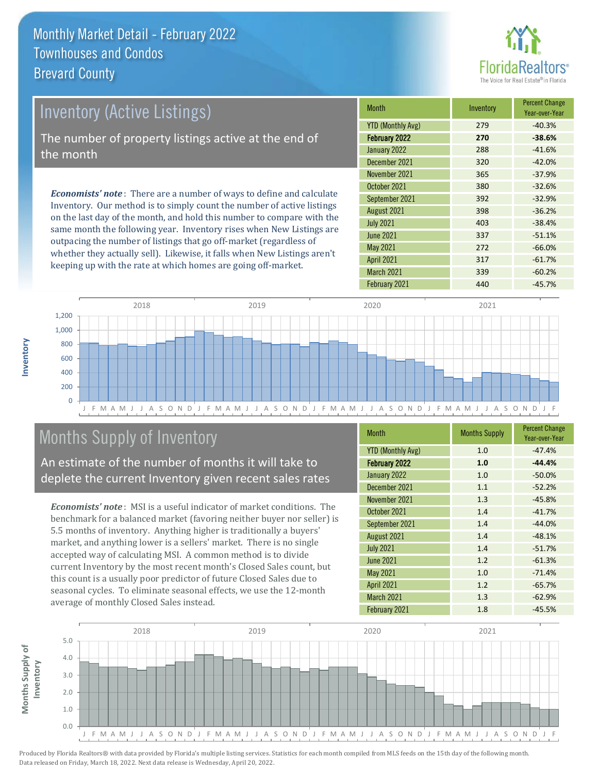![](_page_6_Picture_1.jpeg)

| Inventory (Active Listings)                                                                                                                            | <b>Month</b>      | Inventory | <b>Percent Change</b><br>Year-over-Year |
|--------------------------------------------------------------------------------------------------------------------------------------------------------|-------------------|-----------|-----------------------------------------|
|                                                                                                                                                        | YTD (Monthly Avg) | 279       | $-40.3%$                                |
| The number of property listings active at the end of                                                                                                   | February 2022     | 270       | $-38.6%$                                |
| the month                                                                                                                                              | January 2022      | 288       | $-41.6%$                                |
|                                                                                                                                                        | December 2021     | 320       | $-42.0%$                                |
|                                                                                                                                                        | November 2021     | 365       | $-37.9%$                                |
| <b>Economists' note</b> : There are a number of ways to define and calculate<br>Inventory. Our method is to simply count the number of active listings | October 2021      | 380       | $-32.6%$                                |
|                                                                                                                                                        | September 2021    | 392       | $-32.9%$                                |
|                                                                                                                                                        | August 2021       | 398       | $-36.2%$                                |

on the last day of the month, and hold this number to compare with the same month the following year. Inventory rises when New Listings are outpacing the number of listings that go off-market (regardless of whether they actually sell). Likewise, it falls when New Listings aren't keeping up with the rate at which homes are going off-market.

| IVIONT N                 | <b>INVENTORY</b> | Year-over-Year |
|--------------------------|------------------|----------------|
| <b>YTD (Monthly Avg)</b> | 279              | $-40.3%$       |
| <b>February 2022</b>     | 270              | $-38.6%$       |
| January 2022             | 288              | $-41.6%$       |
| December 2021            | 320              | $-42.0%$       |
| November 2021            | 365              | $-37.9%$       |
| October 2021             | 380              | $-32.6%$       |
| September 2021           | 392              | $-32.9%$       |
| August 2021              | 398              | $-36.2%$       |
| <b>July 2021</b>         | 403              | $-38.4%$       |
| June 2021                | 337              | $-51.1%$       |
| <b>May 2021</b>          | 272              | $-66.0%$       |
| <b>April 2021</b>        | 317              | $-61.7%$       |
| March 2021               | 339              | $-60.2%$       |
| February 2021            | 440              | $-45.7%$       |

![](_page_6_Figure_5.jpeg)

## Months Supply of Inventory

An estimate of the number of months it will take to deplete the current Inventory given recent sales rates

*Economists' note* : MSI is a useful indicator of market conditions. The benchmark for a balanced market (favoring neither buyer nor seller) is 5.5 months of inventory. Anything higher is traditionally a buyers' market, and anything lower is a sellers' market. There is no single accepted way of calculating MSI. A common method is to divide current Inventory by the most recent month's Closed Sales count, but this count is a usually poor predictor of future Closed Sales due to seasonal cycles. To eliminate seasonal effects, we use the 12-month average of monthly Closed Sales instead.

| <b>Month</b>             | <b>Months Supply</b> | <b>Percent Change</b><br>Year-over-Year |
|--------------------------|----------------------|-----------------------------------------|
| <b>YTD (Monthly Avg)</b> | 1.0                  | $-47.4%$                                |
| February 2022            | 1.0                  | $-44.4%$                                |
| January 2022             | 1.0                  | $-50.0%$                                |
| December 2021            | 1.1                  | $-52.2%$                                |
| November 2021            | 1.3                  | $-45.8%$                                |
| October 2021             | 1.4                  | $-41.7%$                                |
| September 2021           | 1.4                  | $-44.0%$                                |
| August 2021              | 1.4                  | $-48.1%$                                |
| <b>July 2021</b>         | 1.4                  | $-51.7%$                                |
| <b>June 2021</b>         | 1.2                  | $-61.3%$                                |
| <b>May 2021</b>          | 1.0                  | $-71.4%$                                |
| April 2021               | 1.2                  | $-65.7%$                                |
| March 2021               | 1.3                  | $-62.9%$                                |
| February 2021            | 1.8                  | $-45.5%$                                |

![](_page_6_Figure_10.jpeg)

Produced by Florida Realtors® with data provided by Florida's multiple listing services. Statistics for each month compiled from MLS feeds on the 15th day of the following month. Data released on Friday, March 18, 2022. Next data release is Wednesday, April 20, 2022.

**Months Supply of** 

Months Supply of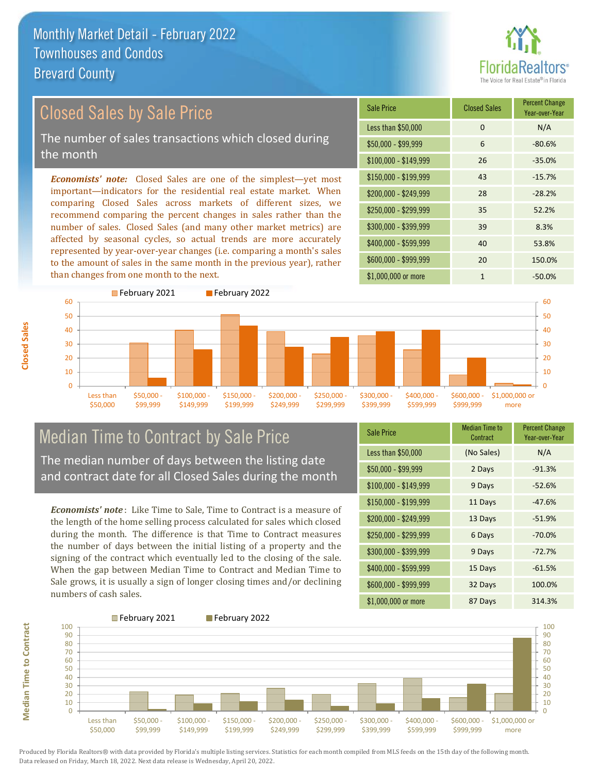![](_page_7_Picture_1.jpeg)

## Closed Sales by Sale Price

The number of sales transactions which closed during the month

*Economists' note:* Closed Sales are one of the simplest—yet most important—indicators for the residential real estate market. When comparing Closed Sales across markets of different sizes, we recommend comparing the percent changes in sales rather than the number of sales. Closed Sales (and many other market metrics) are affected by seasonal cycles, so actual trends are more accurately represented by year-over-year changes (i.e. comparing a month's sales to the amount of sales in the same month in the previous year), rather than changes from one month to the next.

![](_page_7_Picture_5.jpeg)

![](_page_7_Figure_6.jpeg)

## Median Time to Contract by Sale Price

**Median Time to Contract**

**Median Time to Contract** 

**Closed Sales**

The median number of days between the listing date and contract date for all Closed Sales during the month

*Economists' note* : Like Time to Sale, Time to Contract is a measure of the length of the home selling process calculated for sales which closed during the month. The difference is that Time to Contract measures the number of days between the initial listing of a property and the signing of the contract which eventually led to the closing of the sale. When the gap between Median Time to Contract and Median Time to Sale grows, it is usually a sign of longer closing times and/or declining numbers of cash sales.

| <b>Sale Price</b>     | <b>Median Time to</b><br>Contract | <b>Percent Change</b><br>Year-over-Year |
|-----------------------|-----------------------------------|-----------------------------------------|
| Less than \$50,000    | (No Sales)                        | N/A                                     |
| $$50,000 - $99,999$   | 2 Days                            | $-91.3%$                                |
| $$100,000 - $149,999$ | 9 Days                            | $-52.6%$                                |
| $$150,000 - $199,999$ | 11 Days                           | $-47.6%$                                |
| $$200,000 - $249,999$ | 13 Days                           | $-51.9%$                                |
| \$250,000 - \$299,999 | 6 Days                            | $-70.0%$                                |
| \$300,000 - \$399,999 | 9 Days                            | $-72.7%$                                |
| \$400,000 - \$599,999 | 15 Days                           | $-61.5%$                                |
| \$600,000 - \$999,999 | 32 Days                           | 100.0%                                  |
| \$1,000,000 or more   | 87 Days                           | 314.3%                                  |

![](_page_7_Figure_11.jpeg)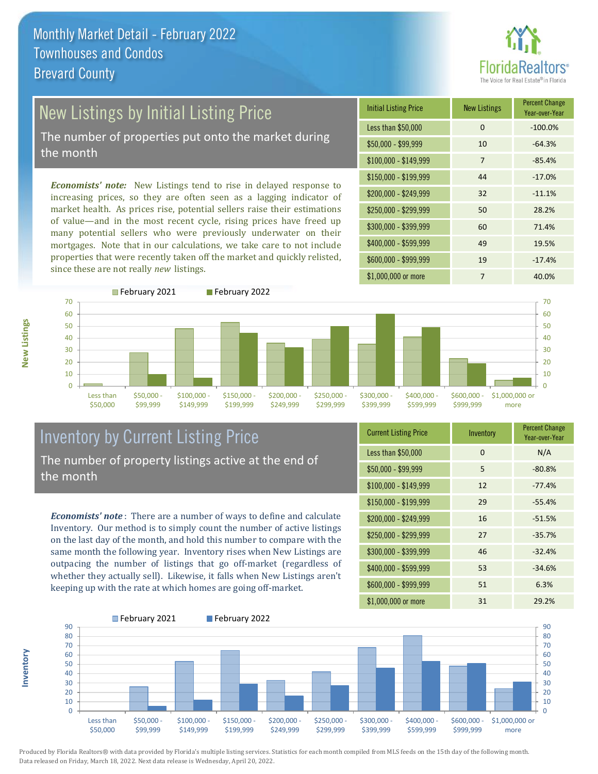![](_page_8_Picture_1.jpeg)

## New Listings by Initial Listing Price

The number of properties put onto the market during the month

*Economists' note:* New Listings tend to rise in delayed response to increasing prices, so they are often seen as a lagging indicator of market health. As prices rise, potential sellers raise their estimations of value—and in the most recent cycle, rising prices have freed up many potential sellers who were previously underwater on their mortgages. Note that in our calculations, we take care to not include properties that were recently taken off the market and quickly relisted, since these are not really *new* listings.

![](_page_8_Picture_5.jpeg)

![](_page_8_Figure_6.jpeg)

**Inventory**

![](_page_8_Figure_7.jpeg)

#### Inventory by Current Listing Price The number of property listings active at the end of the month

*Economists' note* : There are a number of ways to define and calculate Inventory. Our method is to simply count the number of active listings on the last day of the month, and hold this number to compare with the same month the following year. Inventory rises when New Listings are outpacing the number of listings that go off-market (regardless of whether they actually sell). Likewise, it falls when New Listings aren't keeping up with the rate at which homes are going off-market.

| <b>Current Listing Price</b> | Inventory | <b>Percent Change</b><br>Year-over-Year |
|------------------------------|-----------|-----------------------------------------|
| Less than \$50,000           | 0         | N/A                                     |
| $$50,000 - $99,999$          | 5         | $-80.8%$                                |
| $$100,000 - $149,999$        | 12        | $-77.4%$                                |
| $$150,000 - $199,999$        | 29        | $-55.4%$                                |
| $$200,000 - $249,999$        | 16        | $-51.5%$                                |
| \$250,000 - \$299,999        | 27        | $-35.7%$                                |
| \$300,000 - \$399,999        | 46        | $-32.4%$                                |
| \$400,000 - \$599,999        | 53        | $-34.6%$                                |
| \$600,000 - \$999,999        | 51        | 6.3%                                    |
| \$1,000,000 or more          | 31        | 29.2%                                   |

![](_page_8_Figure_11.jpeg)